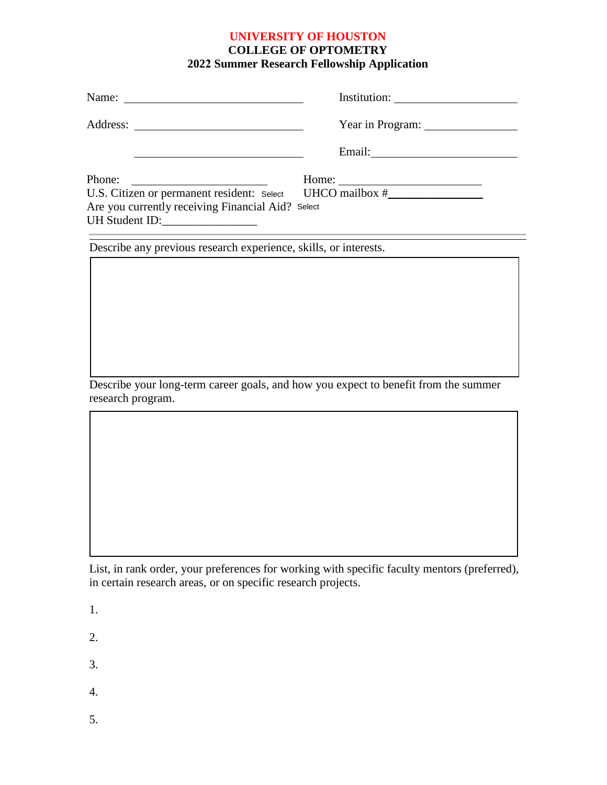## **UNIVERSITY OF HOUSTON COLLEGE OF OPTOMETRY 2022 Summer Research Fellowship Application**

| Name: $\frac{1}{\sqrt{1-\frac{1}{2}} \cdot \frac{1}{2}}$                                                                                                   | Institution: |  |
|------------------------------------------------------------------------------------------------------------------------------------------------------------|--------------|--|
|                                                                                                                                                            |              |  |
|                                                                                                                                                            |              |  |
| Phone: $\qquad \qquad$<br>U.S. Citizen or permanent resident: Select UHCO mailbox #<br>Are you currently receiving Financial Aid? Select<br>UH Student ID: | Home: $\_\_$ |  |
| Describe any previous research experience, skills, or interests.                                                                                           |              |  |

Describe your long-term career goals, and how you expect to benefit from the summer research program.

List, in rank order, your preferences for working with specific faculty mentors (preferred), in certain research areas, or on specific research projects.

1.

2.

3.

- 4.
- 
- 5.